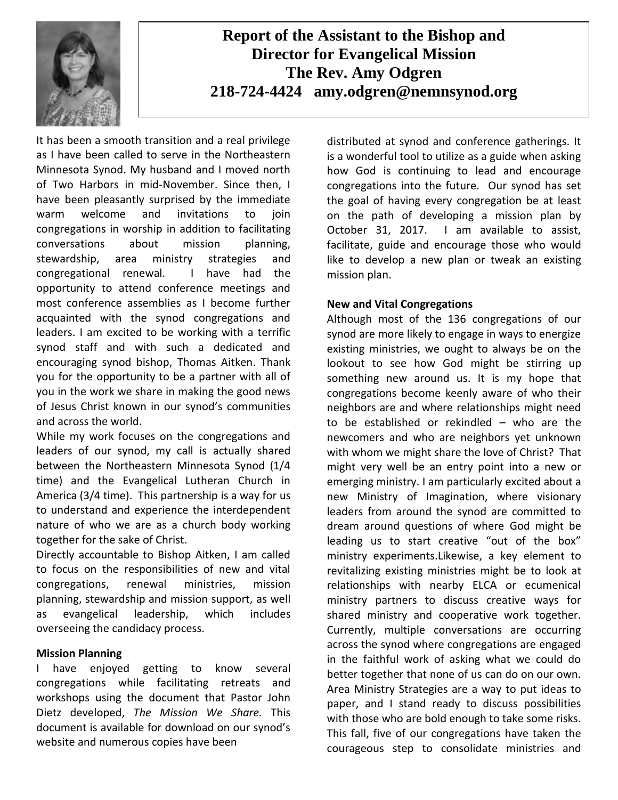

# **Report of the Assistant to the Bishop and Director for Evangelical Mission The Rev. Amy Odgren 218-724-4424 amy.odgren@nemnsynod.org**

It has been a smooth transition and a real privilege as I have been called to serve in the Northeastern Minnesota Synod. My husband and I moved north of Two Harbors in mid-November. Since then, I have been pleasantly surprised by the immediate warm welcome and invitations to join congregations in worship in addition to facilitating conversations about mission planning, stewardship, area ministry strategies and congregational renewal. I have had the opportunity to attend conference meetings and most conference assemblies as I become further acquainted with the synod congregations and leaders. I am excited to be working with a terrific synod staff and with such a dedicated and encouraging synod bishop, Thomas Aitken. Thank you for the opportunity to be a partner with all of you in the work we share in making the good news of Jesus Christ known in our synod's communities and across the world.

While my work focuses on the congregations and leaders of our synod, my call is actually shared between the Northeastern Minnesota Synod (1/4 time) and the Evangelical Lutheran Church in America (3/4 time). This partnership is a way for us to understand and experience the interdependent nature of who we are as a church body working together for the sake of Christ.

Directly accountable to Bishop Aitken, I am called to focus on the responsibilities of new and vital congregations, renewal ministries, mission planning, stewardship and mission support, as well as evangelical leadership, which includes overseeing the candidacy process.

## **Mission Planning**

I have enjoyed getting to know several congregations while facilitating retreats and workshops using the document that Pastor John Dietz developed, *The Mission We Share.* This document is available for download on our synod's website and numerous copies have been

distributed at synod and conference gatherings. It is a wonderful tool to utilize as a guide when asking how God is continuing to lead and encourage congregations into the future. Our synod has set the goal of having every congregation be at least on the path of developing a mission plan by October 31, 2017. I am available to assist, facilitate, guide and encourage those who would like to develop a new plan or tweak an existing mission plan.

## **New and Vital Congregations**

Although most of the 136 congregations of our synod are more likely to engage in ways to energize existing ministries, we ought to always be on the lookout to see how God might be stirring up something new around us. It is my hope that congregations become keenly aware of who their neighbors are and where relationships might need to be established or rekindled – who are the newcomers and who are neighbors yet unknown with whom we might share the love of Christ? That might very well be an entry point into a new or emerging ministry. I am particularly excited about a new Ministry of Imagination, where visionary leaders from around the synod are committed to dream around questions of where God might be leading us to start creative "out of the box" ministry experiments.Likewise, a key element to revitalizing existing ministries might be to look at relationships with nearby ELCA or ecumenical ministry partners to discuss creative ways for shared ministry and cooperative work together. Currently, multiple conversations are occurring across the synod where congregations are engaged in the faithful work of asking what we could do better together that none of us can do on our own. Area Ministry Strategies are a way to put ideas to paper, and I stand ready to discuss possibilities with those who are bold enough to take some risks. This fall, five of our congregations have taken the courageous step to consolidate ministries and